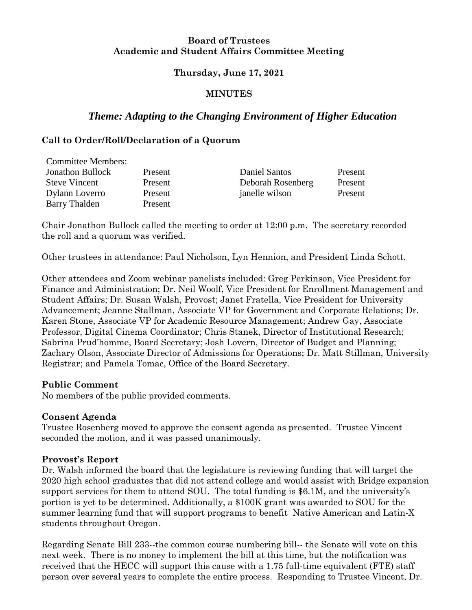### **Board of Trustees Academic and Student Affairs Committee Meeting**

### **Thursday, June 17, 2021**

## **MINUTES**

# *Theme: Adapting to the Changing Environment of Higher Education*

## **Call to Order/Roll/Declaration of a Quorum**

| <b>Committee Members:</b> |         |                   |         |
|---------------------------|---------|-------------------|---------|
| <b>Jonathon Bullock</b>   | Present | Daniel Santos     | Present |
| <b>Steve Vincent</b>      | Present | Deborah Rosenberg | Present |
| Dylann Loverro            | Present | janelle wilson    | Present |
| <b>Barry Thalden</b>      | Present |                   |         |

Chair Jonathon Bullock called the meeting to order at 12:00 p.m. The secretary recorded the roll and a quorum was verified.

Other trustees in attendance: Paul Nicholson, Lyn Hennion, and President Linda Schott.

Other attendees and Zoom webinar panelists included: Greg Perkinson, Vice President for Finance and Administration; Dr. Neil Woolf, Vice President for Enrollment Management and Student Affairs; Dr. Susan Walsh, Provost; Janet Fratella, Vice President for University Advancement; Jeanne Stallman, Associate VP for Government and Corporate Relations; Dr. Karen Stone, Associate VP for Academic Resource Management; Andrew Gay, Associate Professor, Digital Cinema Coordinator; Chris Stanek, Director of Institutional Research; Sabrina Prud'homme, Board Secretary; Josh Lovern, Director of Budget and Planning; Zachary Olson, Associate Director of Admissions for Operations; Dr. Matt Stillman, University Registrar; and Pamela Tomac, Office of the Board Secretary.

## **Public Comment**

No members of the public provided comments.

## **Consent Agenda**

Trustee Rosenberg moved to approve the consent agenda as presented. Trustee Vincent seconded the motion, and it was passed unanimously.

## **Provost's Report**

Dr. Walsh informed the board that the legislature is reviewing funding that will target the 2020 high school graduates that did not attend college and would assist with Bridge expansion support services for them to attend SOU. The total funding is \$6.1M, and the university's portion is yet to be determined. Additionally, a \$100K grant was awarded to SOU for the summer learning fund that will support programs to benefit Native American and Latin-X students throughout Oregon.

Regarding Senate Bill 233--the common course numbering bill-- the Senate will vote on this next week. There is no money to implement the bill at this time, but the notification was received that the HECC will support this cause with a 1.75 full-time equivalent (FTE) staff person over several years to complete the entire process. Responding to Trustee Vincent, Dr.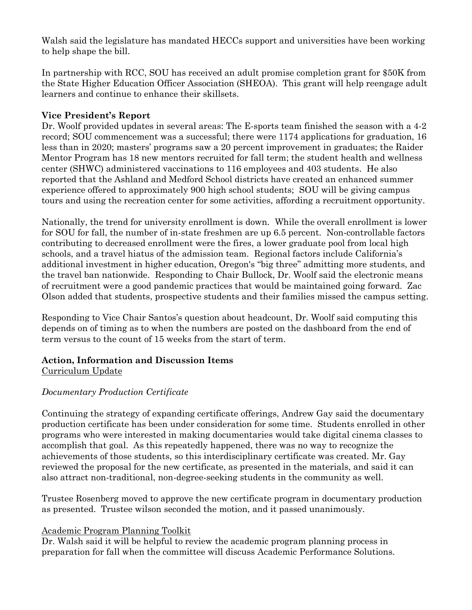Walsh said the legislature has mandated HECCs support and universities have been working to help shape the bill.

In partnership with RCC, SOU has received an adult promise completion grant for \$50K from the State Higher Education Officer Association (SHEOA). This grant will help reengage adult learners and continue to enhance their skillsets.

## **Vice President's Report**

Dr. Woolf provided updates in several areas: The E-sports team finished the season with a 4-2 record; SOU commencement was a successful; there were 1174 applications for graduation, 16 less than in 2020; masters' programs saw a 20 percent improvement in graduates; the Raider Mentor Program has 18 new mentors recruited for fall term; the student health and wellness center (SHWC) administered vaccinations to 116 employees and 403 students. He also reported that the Ashland and Medford School districts have created an enhanced summer experience offered to approximately 900 high school students; SOU will be giving campus tours and using the recreation center for some activities, affording a recruitment opportunity.

Nationally, the trend for university enrollment is down. While the overall enrollment is lower for SOU for fall, the number of in-state freshmen are up 6.5 percent. Non-controllable factors contributing to decreased enrollment were the fires, a lower graduate pool from local high schools, and a travel hiatus of the admission team. Regional factors include California's additional investment in higher education, Oregon's "big three" admitting more students, and the travel ban nationwide. Responding to Chair Bullock, Dr. Woolf said the electronic means of recruitment were a good pandemic practices that would be maintained going forward. Zac Olson added that students, prospective students and their families missed the campus setting.

Responding to Vice Chair Santos's question about headcount, Dr. Woolf said computing this depends on of timing as to when the numbers are posted on the dashboard from the end of term versus to the count of 15 weeks from the start of term.

# **Action, Information and Discussion Items**

Curriculum Update

## *Documentary Production Certificate*

Continuing the strategy of expanding certificate offerings, Andrew Gay said the documentary production certificate has been under consideration for some time. Students enrolled in other programs who were interested in making documentaries would take digital cinema classes to accomplish that goal. As this repeatedly happened, there was no way to recognize the achievements of those students, so this interdisciplinary certificate was created. Mr. Gay reviewed the proposal for the new certificate, as presented in the materials, and said it can also attract non-traditional, non-degree-seeking students in the community as well.

Trustee Rosenberg moved to approve the new certificate program in documentary production as presented. Trustee wilson seconded the motion, and it passed unanimously.

## Academic Program Planning Toolkit

Dr. Walsh said it will be helpful to review the academic program planning process in preparation for fall when the committee will discuss Academic Performance Solutions.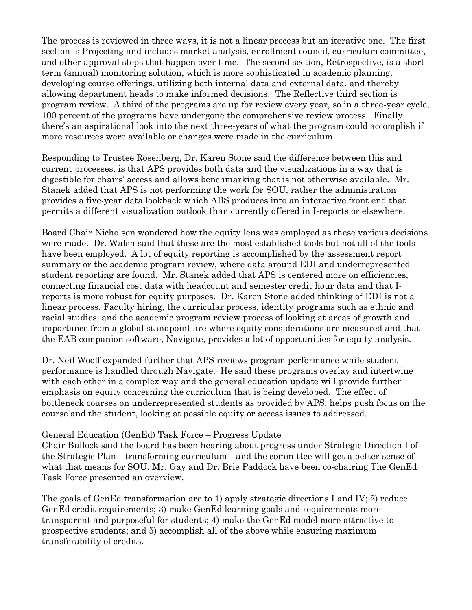The process is reviewed in three ways, it is not a linear process but an iterative one. The first section is Projecting and includes market analysis, enrollment council, curriculum committee, and other approval steps that happen over time. The second section, Retrospective, is a shortterm (annual) monitoring solution, which is more sophisticated in academic planning, developing course offerings, utilizing both internal data and external data, and thereby allowing department heads to make informed decisions. The Reflective third section is program review. A third of the programs are up for review every year, so in a three-year cycle, 100 percent of the programs have undergone the comprehensive review process. Finally, there's an aspirational look into the next three-years of what the program could accomplish if more resources were available or changes were made in the curriculum.

Responding to Trustee Rosenberg, Dr. Karen Stone said the difference between this and current processes, is that APS provides both data and the visualizations in a way that is digestible for chairs' access and allows benchmarking that is not otherwise available. Mr. Stanek added that APS is not performing the work for SOU, rather the administration provides a five-year data lookback which ABS produces into an interactive front end that permits a different visualization outlook than currently offered in I-reports or elsewhere.

Board Chair Nicholson wondered how the equity lens was employed as these various decisions were made. Dr. Walsh said that these are the most established tools but not all of the tools have been employed. A lot of equity reporting is accomplished by the assessment report summary or the academic program review, where data around EDI and underrepresented student reporting are found. Mr. Stanek added that APS is centered more on efficiencies, connecting financial cost data with headcount and semester credit hour data and that Ireports is more robust for equity purposes. Dr. Karen Stone added thinking of EDI is not a linear process. Faculty hiring, the curricular process, identity programs such as ethnic and racial studies, and the academic program review process of looking at areas of growth and importance from a global standpoint are where equity considerations are measured and that the EAB companion software, Navigate, provides a lot of opportunities for equity analysis.

Dr. Neil Woolf expanded further that APS reviews program performance while student performance is handled through Navigate. He said these programs overlay and intertwine with each other in a complex way and the general education update will provide further emphasis on equity concerning the curriculum that is being developed. The effect of bottleneck courses on underrepresented students as provided by APS, helps push focus on the course and the student, looking at possible equity or access issues to addressed.

## General Education (GenEd) Task Force – Progress Update

Chair Bullock said the board has been hearing about progress under Strategic Direction I of the Strategic Plan—transforming curriculum—and the committee will get a better sense of what that means for SOU. Mr. Gay and Dr. Brie Paddock have been co-chairing The GenEd Task Force presented an overview.

The goals of GenEd transformation are to 1) apply strategic directions I and IV; 2) reduce GenEd credit requirements; 3) make GenEd learning goals and requirements more transparent and purposeful for students; 4) make the GenEd model more attractive to prospective students; and 5) accomplish all of the above while ensuring maximum transferability of credits.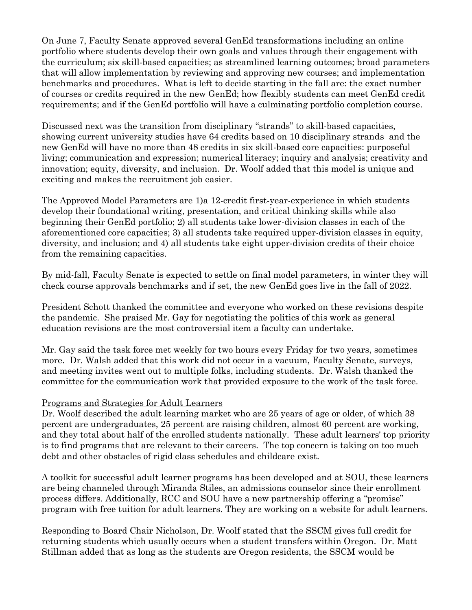On June 7, Faculty Senate approved several GenEd transformations including an online portfolio where students develop their own goals and values through their engagement with the curriculum; six skill-based capacities; as streamlined learning outcomes; broad parameters that will allow implementation by reviewing and approving new courses; and implementation benchmarks and procedures. What is left to decide starting in the fall are: the exact number of courses or credits required in the new GenEd; how flexibly students can meet GenEd credit requirements; and if the GenEd portfolio will have a culminating portfolio completion course.

Discussed next was the transition from disciplinary "strands" to skill-based capacities, showing current university studies have 64 credits based on 10 disciplinary strands and the new GenEd will have no more than 48 credits in six skill-based core capacities: purposeful living; communication and expression; numerical literacy; inquiry and analysis; creativity and innovation; equity, diversity, and inclusion. Dr. Woolf added that this model is unique and exciting and makes the recruitment job easier.

The Approved Model Parameters are 1)a 12-credit first-year-experience in which students develop their foundational writing, presentation, and critical thinking skills while also beginning their GenEd portfolio; 2) all students take lower-division classes in each of the aforementioned core capacities; 3) all students take required upper-division classes in equity, diversity, and inclusion; and 4) all students take eight upper-division credits of their choice from the remaining capacities.

By mid-fall, Faculty Senate is expected to settle on final model parameters, in winter they will check course approvals benchmarks and if set, the new GenEd goes live in the fall of 2022.

President Schott thanked the committee and everyone who worked on these revisions despite the pandemic. She praised Mr. Gay for negotiating the politics of this work as general education revisions are the most controversial item a faculty can undertake.

Mr. Gay said the task force met weekly for two hours every Friday for two years, sometimes more. Dr. Walsh added that this work did not occur in a vacuum, Faculty Senate, surveys, and meeting invites went out to multiple folks, including students. Dr. Walsh thanked the committee for the communication work that provided exposure to the work of the task force.

## Programs and Strategies for Adult Learners

Dr. Woolf described the adult learning market who are 25 years of age or older, of which 38 percent are undergraduates, 25 percent are raising children, almost 60 percent are working, and they total about half of the enrolled students nationally. These adult learners' top priority is to find programs that are relevant to their careers. The top concern is taking on too much debt and other obstacles of rigid class schedules and childcare exist.

A toolkit for successful adult learner programs has been developed and at SOU, these learners are being channeled through Miranda Stiles, an admissions counselor since their enrollment process differs. Additionally, RCC and SOU have a new partnership offering a "promise" program with free tuition for adult learners. They are working on a website for adult learners.

Responding to Board Chair Nicholson, Dr. Woolf stated that the SSCM gives full credit for returning students which usually occurs when a student transfers within Oregon. Dr. Matt Stillman added that as long as the students are Oregon residents, the SSCM would be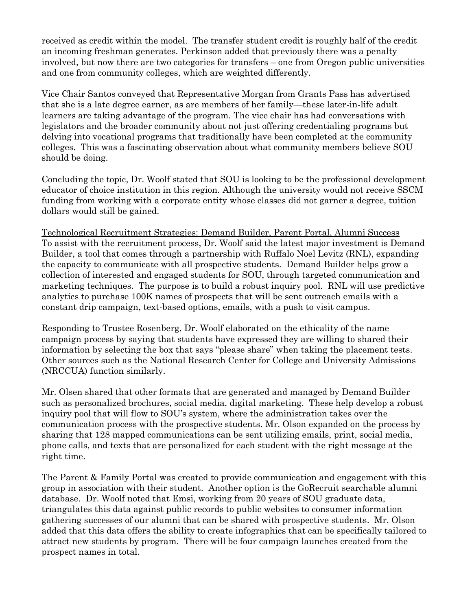received as credit within the model. The transfer student credit is roughly half of the credit an incoming freshman generates. Perkinson added that previously there was a penalty involved, but now there are two categories for transfers – one from Oregon public universities and one from community colleges, which are weighted differently.

Vice Chair Santos conveyed that Representative Morgan from Grants Pass has advertised that she is a late degree earner, as are members of her family—these later-in-life adult learners are taking advantage of the program. The vice chair has had conversations with legislators and the broader community about not just offering credentialing programs but delving into vocational programs that traditionally have been completed at the community colleges. This was a fascinating observation about what community members believe SOU should be doing.

Concluding the topic, Dr. Woolf stated that SOU is looking to be the professional development educator of choice institution in this region. Although the university would not receive SSCM funding from working with a corporate entity whose classes did not garner a degree, tuition dollars would still be gained.

Technological Recruitment Strategies: Demand Builder, Parent Portal, Alumni Success To assist with the recruitment process, Dr. Woolf said the latest major investment is Demand Builder, a tool that comes through a partnership with Ruffalo Noel Levitz (RNL), expanding the capacity to communicate with all prospective students. Demand Builder helps grow a collection of interested and engaged students for SOU, through targeted communication and marketing techniques. The purpose is to build a robust inquiry pool. RNL will use predictive analytics to purchase 100K names of prospects that will be sent outreach emails with a constant drip campaign, text-based options, emails, with a push to visit campus.

Responding to Trustee Rosenberg, Dr. Woolf elaborated on the ethicality of the name campaign process by saying that students have expressed they are willing to shared their information by selecting the box that says "please share" when taking the placement tests. Other sources such as the National Research Center for College and University Admissions (NRCCUA) function similarly.

Mr. Olsen shared that other formats that are generated and managed by Demand Builder such as personalized brochures, social media, digital marketing. These help develop a robust inquiry pool that will flow to SOU's system, where the administration takes over the communication process with the prospective students. Mr. Olson expanded on the process by sharing that 128 mapped communications can be sent utilizing emails, print, social media, phone calls, and texts that are personalized for each student with the right message at the right time.

The Parent & Family Portal was created to provide communication and engagement with this group in association with their student. Another option is the GoRecruit searchable alumni database. Dr. Woolf noted that Emsi, working from 20 years of SOU graduate data, triangulates this data against public records to public websites to consumer information gathering successes of our alumni that can be shared with prospective students. Mr. Olson added that this data offers the ability to create infographics that can be specifically tailored to attract new students by program. There will be four campaign launches created from the prospect names in total.